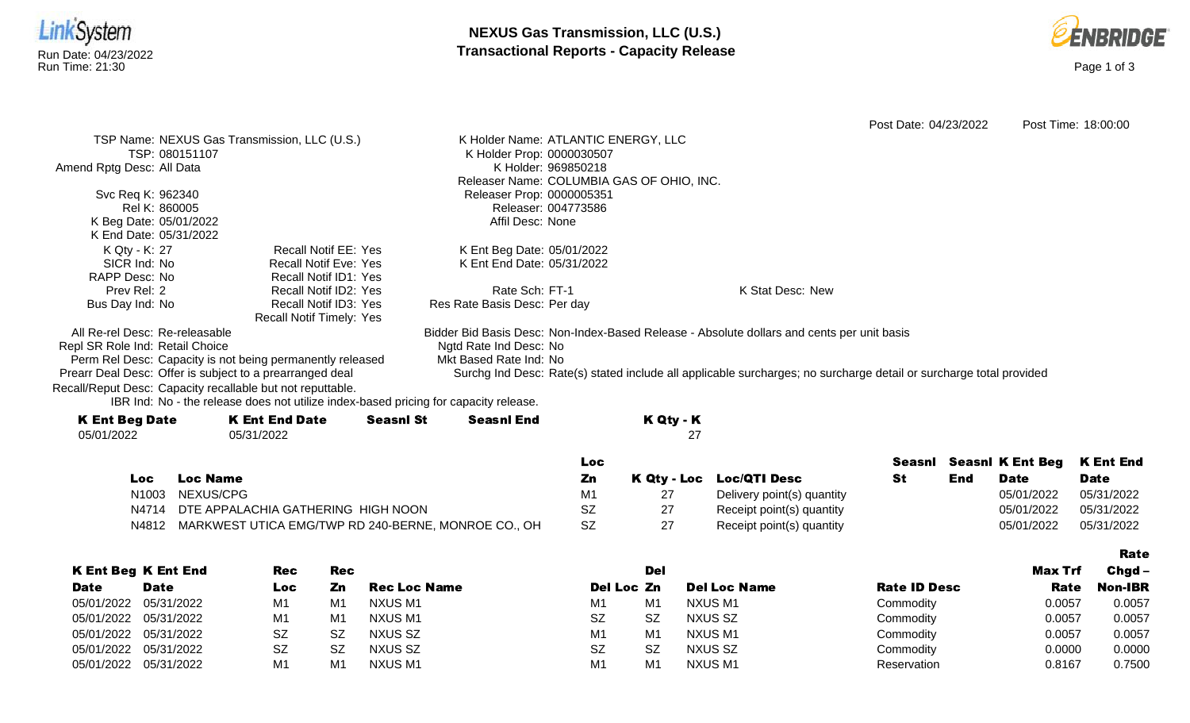



|                                                            |                                                                                      |                     |                                           |           |            |                                                                                                                    | Post Date: 04/23/2022 |     |                         | Post Time: 18:00:00 |
|------------------------------------------------------------|--------------------------------------------------------------------------------------|---------------------|-------------------------------------------|-----------|------------|--------------------------------------------------------------------------------------------------------------------|-----------------------|-----|-------------------------|---------------------|
| TSP Name: NEXUS Gas Transmission, LLC (U.S.)               |                                                                                      |                     | K Holder Name: ATLANTIC ENERGY, LLC       |           |            |                                                                                                                    |                       |     |                         |                     |
| TSP: 080151107                                             |                                                                                      |                     | K Holder Prop: 0000030507                 |           |            |                                                                                                                    |                       |     |                         |                     |
| Amend Rptg Desc: All Data                                  |                                                                                      |                     | K Holder: 969850218                       |           |            |                                                                                                                    |                       |     |                         |                     |
|                                                            |                                                                                      |                     | Releaser Name: COLUMBIA GAS OF OHIO, INC. |           |            |                                                                                                                    |                       |     |                         |                     |
| Svc Req K: 962340                                          |                                                                                      |                     | Releaser Prop: 0000005351                 |           |            |                                                                                                                    |                       |     |                         |                     |
| Rel K: 860005                                              |                                                                                      |                     | Releaser: 004773586                       |           |            |                                                                                                                    |                       |     |                         |                     |
| K Beg Date: 05/01/2022                                     |                                                                                      |                     | Affil Desc: None                          |           |            |                                                                                                                    |                       |     |                         |                     |
| K End Date: 05/31/2022                                     |                                                                                      |                     |                                           |           |            |                                                                                                                    |                       |     |                         |                     |
| K Qty - K: 27                                              | <b>Recall Notif EE: Yes</b>                                                          |                     | K Ent Beg Date: 05/01/2022                |           |            |                                                                                                                    |                       |     |                         |                     |
| SICR Ind: No                                               | <b>Recall Notif Eve: Yes</b>                                                         |                     | K Ent End Date: 05/31/2022                |           |            |                                                                                                                    |                       |     |                         |                     |
| RAPP Desc: No                                              | <b>Recall Notif ID1: Yes</b>                                                         |                     |                                           |           |            |                                                                                                                    |                       |     |                         |                     |
| Prev Rel: 2                                                | Recall Notif ID2: Yes                                                                |                     | Rate Sch: FT-1                            |           |            | K Stat Desc: New                                                                                                   |                       |     |                         |                     |
| Bus Day Ind: No                                            | Recall Notif ID3: Yes<br>Recall Notif Timely: Yes                                    |                     | Res Rate Basis Desc: Per day              |           |            |                                                                                                                    |                       |     |                         |                     |
| All Re-rel Desc: Re-releasable                             |                                                                                      |                     |                                           |           |            | Bidder Bid Basis Desc: Non-Index-Based Release - Absolute dollars and cents per unit basis                         |                       |     |                         |                     |
| Repl SR Role Ind: Retail Choice                            |                                                                                      |                     | Ngtd Rate Ind Desc: No                    |           |            |                                                                                                                    |                       |     |                         |                     |
| Perm Rel Desc: Capacity is not being permanently released  |                                                                                      |                     | Mkt Based Rate Ind: No                    |           |            |                                                                                                                    |                       |     |                         |                     |
| Prearr Deal Desc: Offer is subject to a prearranged deal   |                                                                                      |                     |                                           |           |            | Surchg Ind Desc: Rate(s) stated include all applicable surcharges; no surcharge detail or surcharge total provided |                       |     |                         |                     |
| Recall/Reput Desc: Capacity recallable but not reputtable. |                                                                                      |                     |                                           |           |            |                                                                                                                    |                       |     |                         |                     |
|                                                            | IBR Ind: No - the release does not utilize index-based pricing for capacity release. |                     |                                           |           |            |                                                                                                                    |                       |     |                         |                     |
| <b>K Ent Beg Date</b>                                      | <b>K Ent End Date</b>                                                                | <b>Seasnl St</b>    | <b>Seasnl End</b>                         |           | K Qty - K  |                                                                                                                    |                       |     |                         |                     |
| 05/01/2022                                                 | 05/31/2022                                                                           |                     |                                           |           | 27         |                                                                                                                    |                       |     |                         |                     |
|                                                            |                                                                                      |                     |                                           | Loc       |            |                                                                                                                    | Seasnl                |     | <b>Seasnl K Ent Beg</b> | <b>K Ent End</b>    |
| <b>Loc Name</b><br><b>Loc</b>                              |                                                                                      |                     |                                           | Zn        |            | K Qty - Loc Loc/QTI Desc                                                                                           | <b>St</b>             | End | <b>Date</b>             | <b>Date</b>         |
| NEXUS/CPG<br>N <sub>1003</sub>                             |                                                                                      |                     |                                           | M1        | 27         | Delivery point(s) quantity                                                                                         |                       |     | 05/01/2022              | 05/31/2022          |
| N4714                                                      | DTE APPALACHIA GATHERING HIGH NOON                                                   |                     |                                           | <b>SZ</b> | 27         | Receipt point(s) quantity                                                                                          |                       |     | 05/01/2022              | 05/31/2022          |
| N4812                                                      | MARKWEST UTICA EMG/TWP RD 240-BERNE, MONROE CO., OH                                  |                     |                                           | SZ        | 27         | Receipt point(s) quantity                                                                                          |                       |     | 05/01/2022              | 05/31/2022          |
|                                                            |                                                                                      |                     |                                           |           |            |                                                                                                                    |                       |     |                         |                     |
|                                                            |                                                                                      |                     |                                           |           |            |                                                                                                                    |                       |     |                         | <b>Rate</b>         |
| <b>K Ent Beg K Ent End</b>                                 | <b>Rec</b><br><b>Rec</b>                                                             |                     |                                           |           | <b>Del</b> |                                                                                                                    |                       |     | <b>Max Trf</b>          | Chgd-               |
| <b>Date</b><br><b>Date</b>                                 | Zn<br>Loc                                                                            | <b>Rec Loc Name</b> |                                           |           | Del Loc Zn | <b>Del Loc Name</b>                                                                                                | <b>Rate ID Desc</b>   |     | Rate                    | <b>Non-IBR</b>      |

|             | <b>KERL DEY KERLERY</b> | rec       | REC            |                     |            | ושע       |                     |                     | IVIAX III | - Unyu         |
|-------------|-------------------------|-----------|----------------|---------------------|------------|-----------|---------------------|---------------------|-----------|----------------|
| <b>Date</b> | <b>Date</b>             | Loc       | Zn             | <b>Rec Loc Name</b> | Del Loc Zn |           | <b>Del Loc Name</b> | <b>Rate ID Desc</b> | Rate      | <b>Non-IBR</b> |
|             | 05/01/2022 05/31/2022   | M1        | M <sub>1</sub> | NXUS M1             | M1         | M1        | <b>NXUS M1</b>      | Commodity           | 0.0057    | 0.0057         |
|             | 05/01/2022 05/31/2022   | M1        | M1             | NXUS M1             | <b>SZ</b>  | SZ        | NXUS SZ             | Commodity           | 0.0057    | 0.0057         |
|             | 05/01/2022 05/31/2022   | <b>SZ</b> | SZ             | NXUS SZ             | M1         | M1        | NXUS M1             | Commodity           | 0.0057    | 0.0057         |
|             | 05/01/2022 05/31/2022   | <b>SZ</b> | SZ             | NXUS SZ             | <b>SZ</b>  | <b>SZ</b> | NXUS SZ             | Commodity           | 0.0000    | 0.0000         |
|             | 05/01/2022 05/31/2022   | M1        | M <sub>1</sub> | NXUS M1             | M1         | M1        | NXUS M1             | Reservation         | 0.8167    | 0.7500         |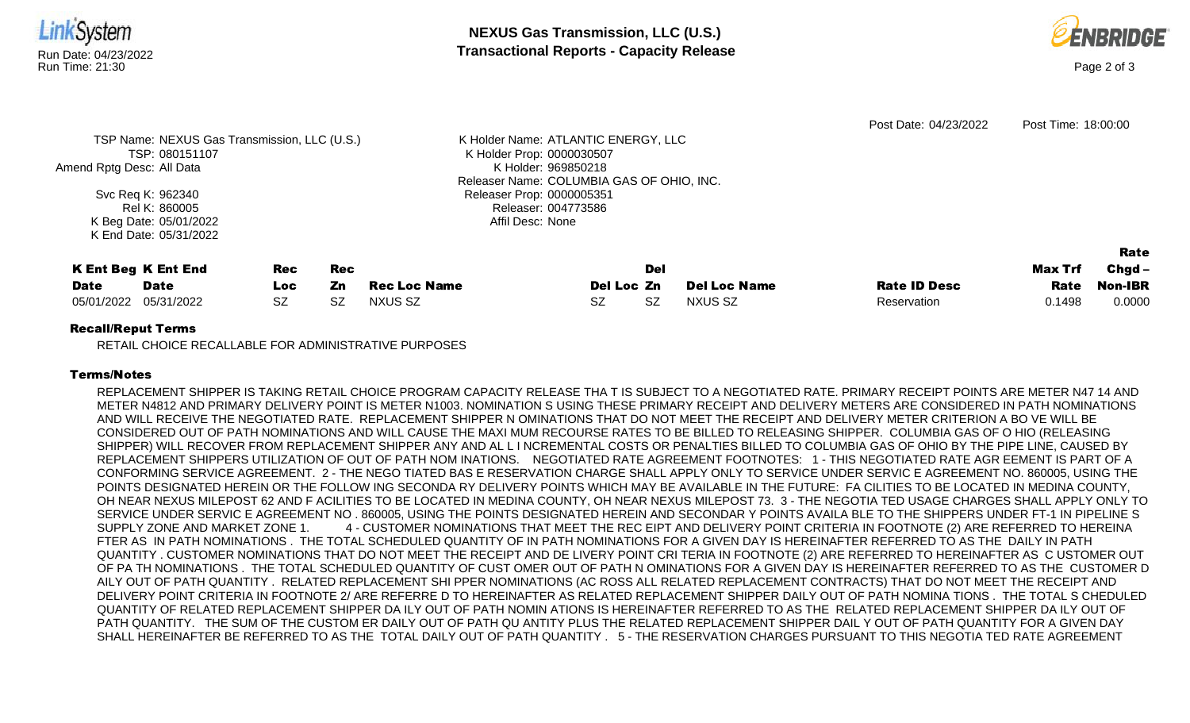

K Holder: 969850218

Releaser Prop: 0000005351 Releaser: 004773586 Affil Desc: None

Releaser Name: COLUMBIA GAS OF OHIO, INC.

|             |                            |            |            |                     |            |     |                     |                     |                | <b>Rate</b>    |
|-------------|----------------------------|------------|------------|---------------------|------------|-----|---------------------|---------------------|----------------|----------------|
|             | <b>K Ent Beg K Ent End</b> | Rec        | <b>Rec</b> |                     |            | Del |                     |                     | <b>Max Trf</b> | Chgd -         |
| <b>Date</b> | <b>Date</b>                | <b>LOC</b> | Zn         | <b>Rec Loc Name</b> | Del Loc Zn |     | <b>Del Loc Name</b> | <b>Rate ID Desc</b> | Rate           | <b>Non-IBR</b> |
| 05/01/2022  | 05/31/2022                 | SZ         | <b>SZ</b>  | NXUS SZ             | SZ         | SZ  | NXUS SZ             | Reservation         | 0.1498         | 0.0000         |

## Recall/Reput Terms

Amend Rptg Desc: All Data

Svc Req K: 962340 Rel K: 860005 K Beg Date: 05/01/2022 K End Date: 05/31/2022

RETAIL CHOICE RECALLABLE FOR ADMINISTRATIVE PURPOSES

## Terms/Notes

REPLACEMENT SHIPPER IS TAKING RETAIL CHOICE PROGRAM CAPACITY RELEASE THA T IS SUBJECT TO A NEGOTIATED RATE. PRIMARY RECEIPT POINTS ARE METER N47 14 AND METER N4812 AND PRIMARY DELIVERY POINT IS METER N1003. NOMINATION S USING THESE PRIMARY RECEIPT AND DELIVERY METERS ARE CONSIDERED IN PATH NOMINATIONS AND WILL RECEIVE THE NEGOTIATED RATE. REPLACEMENT SHIPPER N OMINATIONS THAT DO NOT MEET THE RECEIPT AND DELIVERY METER CRITERION A BO VE WILL BE CONSIDERED OUT OF PATH NOMINATIONS AND WILL CAUSE THE MAXI MUM RECOURSE RATES TO BE BILLED TO RELEASING SHIPPER. COLUMBIA GAS OF O HIO (RELEASING SHIPPER) WILL RECOVER FROM REPLACEMENT SHIPPER ANY AND AL L I NCREMENTAL COSTS OR PENALTIES BILLED TO COLUMBIA GAS OF OHIO BY THE PIPE LINE, CAUSED BY REPLACEMENT SHIPPERS UTILIZATION OF OUT OF PATH NOM INATIONS. NEGOTIATED RATE AGREEMENT FOOTNOTES: 1 - THIS NEGOTIATED RATE AGR EEMENT IS PART OF A CONFORMING SERVICE AGREEMENT. 2 - THE NEGO TIATED BAS E RESERVATION CHARGE SHALL APPLY ONLY TO SERVICE UNDER SERVIC E AGREEMENT NO. 860005, USING THE POINTS DESIGNATED HEREIN OR THE FOLLOW ING SECONDA RY DELIVERY POINTS WHICH MAY BE AVAILABLE IN THE FUTURE: FA CILITIES TO BE LOCATED IN MEDINA COUNTY, OH NEAR NEXUS MILEPOST 62 AND F ACILITIES TO BE LOCATED IN MEDINA COUNTY, OH NEAR NEXUS MILEPOST 73. 3 - THE NEGOTIA TED USAGE CHARGES SHALL APPLY ONLY TO SERVICE UNDER SERVIC E AGREEMENT NO . 860005, USING THE POINTS DESIGNATED HEREIN AND SECONDAR Y POINTS AVAILA BLE TO THE SHIPPERS UNDER FT-1 IN PIPELINE S SUPPLY ZONE AND MARKET ZONE 1. 4 - CUSTOMER NOMINATIONS THAT MEET THE REC EIPT AND DELIVERY POINT CRITERIA IN FOOTNOTE (2) ARE REFERRED TO HEREINA FTER AS IN PATH NOMINATIONS . THE TOTAL SCHEDULED QUANTITY OF IN PATH NOMINATIONS FOR A GIVEN DAY IS HEREINAFTER REFERRED TO AS THE DAILY IN PATH QUANTITY . CUSTOMER NOMINATIONS THAT DO NOT MEET THE RECEIPT AND DE LIVERY POINT CRI TERIA IN FOOTNOTE (2) ARE REFERRED TO HEREINAFTER AS C USTOMER OUT OF PA TH NOMINATIONS . THE TOTAL SCHEDULED QUANTITY OF CUST OMER OUT OF PATH N OMINATIONS FOR A GIVEN DAY IS HEREINAFTER REFERRED TO AS THE CUSTOMER D AILY OUT OF PATH QUANTITY . RELATED REPLACEMENT SHI PPER NOMINATIONS (AC ROSS ALL RELATED REPLACEMENT CONTRACTS) THAT DO NOT MEET THE RECEIPT AND DELIVERY POINT CRITERIA IN FOOTNOTE 2/ ARE REFERRE D TO HEREINAFTER AS RELATED REPLACEMENT SHIPPER DAILY OUT OF PATH NOMINA TIONS . THE TOTAL S CHEDULED QUANTITY OF RELATED REPLACEMENT SHIPPER DA ILY OUT OF PATH NOMIN ATIONS IS HEREINAFTER REFERRED TO AS THE RELATED REPLACEMENT SHIPPER DA ILY OUT OF PATH QUANTITY. THE SUM OF THE CUSTOM ER DAILY OUT OF PATH QU ANTITY PLUS THE RELATED REPLACEMENT SHIPPER DAIL Y OUT OF PATH QUANTITY FOR A GIVEN DAY SHALL HEREINAFTER BE REFERRED TO AS THE TOTAL DAILY OUT OF PATH QUANTITY . 5 - THE RESERVATION CHARGES PURSUANT TO THIS NEGOTIA TED RATE AGREEMENT